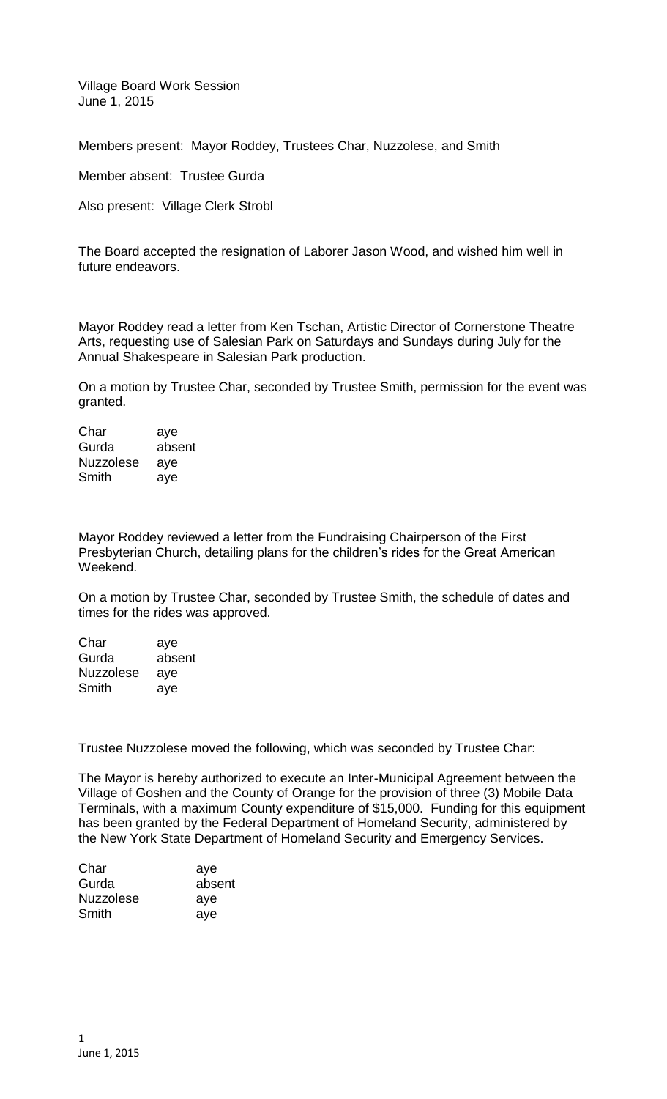Village Board Work Session June 1, 2015

Members present: Mayor Roddey, Trustees Char, Nuzzolese, and Smith

Member absent: Trustee Gurda

Also present: Village Clerk Strobl

The Board accepted the resignation of Laborer Jason Wood, and wished him well in future endeavors.

Mayor Roddey read a letter from Ken Tschan, Artistic Director of Cornerstone Theatre Arts, requesting use of Salesian Park on Saturdays and Sundays during July for the Annual Shakespeare in Salesian Park production.

On a motion by Trustee Char, seconded by Trustee Smith, permission for the event was granted.

| Char             | aye    |
|------------------|--------|
| Gurda            | absent |
| <b>Nuzzolese</b> | aye    |
| Smith            | aye    |

Mayor Roddey reviewed a letter from the Fundraising Chairperson of the First Presbyterian Church, detailing plans for the children's rides for the Great American Weekend.

On a motion by Trustee Char, seconded by Trustee Smith, the schedule of dates and times for the rides was approved.

| Char             | aye    |
|------------------|--------|
| Gurda            | absent |
| <b>Nuzzolese</b> | aye    |
| Smith            | aye    |

Trustee Nuzzolese moved the following, which was seconded by Trustee Char:

The Mayor is hereby authorized to execute an Inter-Municipal Agreement between the Village of Goshen and the County of Orange for the provision of three (3) Mobile Data Terminals, with a maximum County expenditure of \$15,000. Funding for this equipment has been granted by the Federal Department of Homeland Security, administered by the New York State Department of Homeland Security and Emergency Services.

| aye    |
|--------|
| absent |
| aye    |
| aye    |
|        |